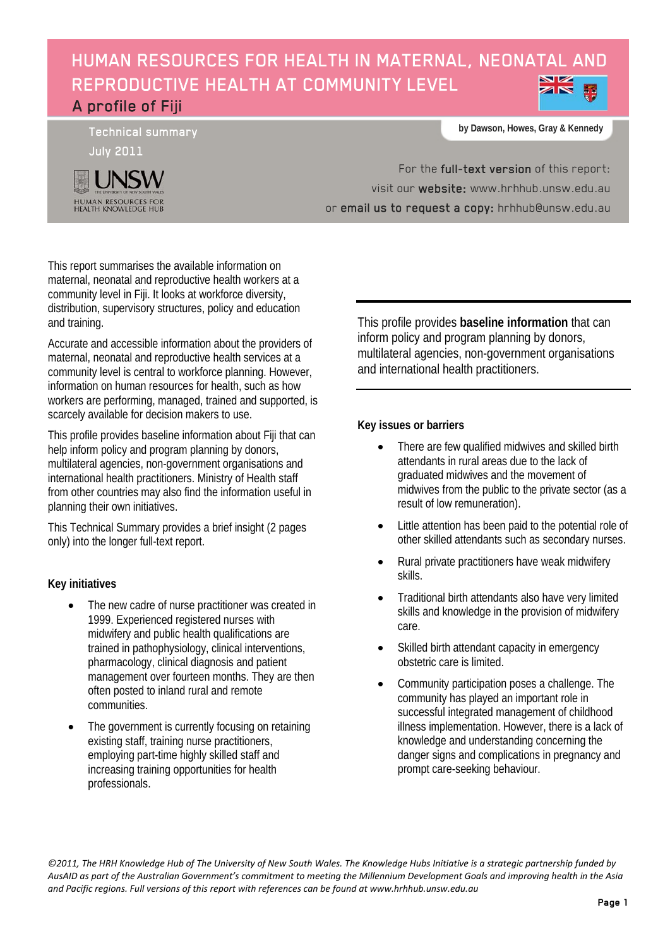# HUMAN RESOURCES FOR HEALTH IN MATERNAL, NEONATAL AND REPRODUCTIVE HEALTH AT COMMUNITY LEVEL A profile of Fiji

Technical summary



**by Dawson, Howes, Gray & Kennedy**

For the full-text version of this report: visit our website: [www.hrhhub.unsw.edu.au](http://www.hrhhub.unsw.edu.au/) or email us to request a copy: hrhhub@unsw.edu.au

This report summarises the available information on maternal, neonatal and reproductive health workers at a community level in Fiji. It looks at workforce diversity, distribution, supervisory structures, policy and education and training.

Accurate and accessible information about the providers of maternal, neonatal and reproductive health services at a community level is central to workforce planning. However, information on human resources for health, such as how workers are performing, managed, trained and supported, is scarcely available for decision makers to use.

This profile provides baseline information about Fiji that can help inform policy and program planning by donors, multilateral agencies, non-government organisations and international health practitioners. Ministry of Health staff from other countries may also find the information useful in planning their own initiatives.

This Technical Summary provides a brief insight (2 pages only) into the longer full-text report.

# **Key initiatives**

- The new cadre of nurse practitioner was created in 1999. Experienced registered nurses with midwifery and public health qualifications are trained in pathophysiology, clinical interventions, pharmacology, clinical diagnosis and patient management over fourteen months. They are then often posted to inland rural and remote communities.
- The government is currently focusing on retaining existing staff, training nurse practitioners, employing part-time highly skilled staff and increasing training opportunities for health professionals.

This profile provides **baseline information** that can inform policy and program planning by donors, multilateral agencies, non-government organisations and international health practitioners.

## **Key issues or barriers**

- There are few qualified midwives and skilled birth attendants in rural areas due to the lack of graduated midwives and the movement of midwives from the public to the private sector (as a result of low remuneration).
- Little attention has been paid to the potential role of other skilled attendants such as secondary nurses.
- Rural private practitioners have weak midwifery skills.
- Traditional birth attendants also have very limited skills and knowledge in the provision of midwifery care.
- Skilled birth attendant capacity in emergency obstetric care is limited.
- Community participation poses a challenge. The community has played an important role in successful integrated management of childhood illness implementation. However, there is a lack of knowledge and understanding concerning the danger signs and complications in pregnancy and prompt care-seeking behaviour.

*©2011, The HRH Knowledge Hub of The University of New South Wales. The Knowledge Hubs Initiative is a strategic partnership funded by AusAID as part of the Australian Government's commitment to meeting the Millennium Development Goals and improving health in the Asia and Pacific regions. Full versions of this report with references can be found at www.hrhhub.unsw.edu.au*